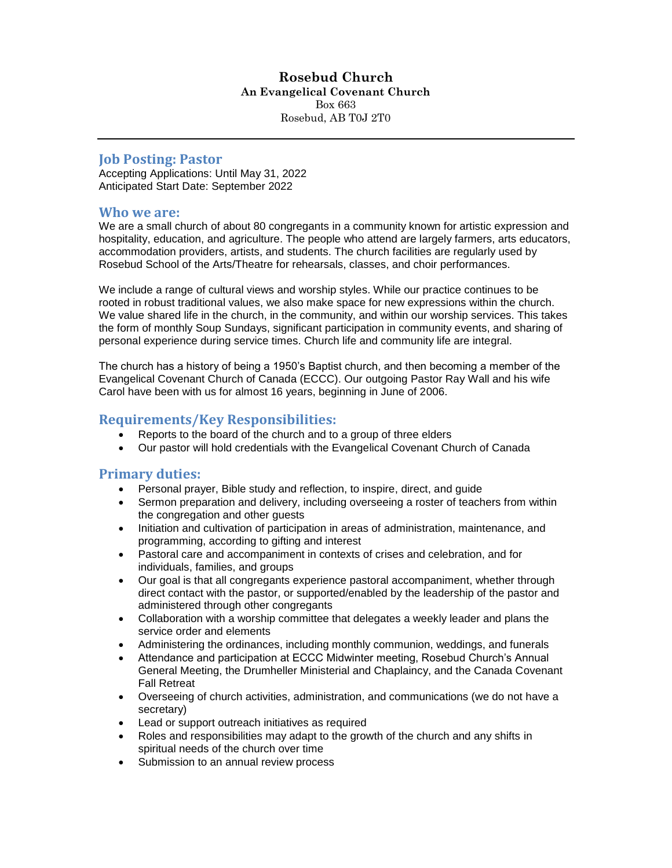### **Job Posting: Pastor**

Accepting Applications: Until May 31, 2022 Anticipated Start Date: September 2022

#### **Who we are:**

We are a small church of about 80 congregants in a community known for artistic expression and hospitality, education, and agriculture. The people who attend are largely farmers, arts educators, accommodation providers, artists, and students. The church facilities are regularly used by Rosebud School of the Arts/Theatre for rehearsals, classes, and choir performances.

We include a range of cultural views and worship styles. While our practice continues to be rooted in robust traditional values, we also make space for new expressions within the church. We value shared life in the church, in the community, and within our worship services. This takes the form of monthly Soup Sundays, significant participation in community events, and sharing of personal experience during service times. Church life and community life are integral.

The church has a history of being a 1950's Baptist church, and then becoming a member of the Evangelical Covenant Church of Canada (ECCC). Our outgoing Pastor Ray Wall and his wife Carol have been with us for almost 16 years, beginning in June of 2006.

### **Requirements/Key Responsibilities:**

- Reports to the board of the church and to a group of three elders
- Our pastor will hold credentials with the Evangelical Covenant Church of Canada

#### **Primary duties:**

- Personal prayer, Bible study and reflection, to inspire, direct, and guide
- Sermon preparation and delivery, including overseeing a roster of teachers from within the congregation and other guests
- Initiation and cultivation of participation in areas of administration, maintenance, and programming, according to gifting and interest
- Pastoral care and accompaniment in contexts of crises and celebration, and for individuals, families, and groups
- Our goal is that all congregants experience pastoral accompaniment, whether through direct contact with the pastor, or supported/enabled by the leadership of the pastor and administered through other congregants
- Collaboration with a worship committee that delegates a weekly leader and plans the service order and elements
- Administering the ordinances, including monthly communion, weddings, and funerals
- Attendance and participation at ECCC Midwinter meeting, Rosebud Church's Annual General Meeting, the Drumheller Ministerial and Chaplaincy, and the Canada Covenant Fall Retreat
- Overseeing of church activities, administration, and communications (we do not have a secretary)
- Lead or support outreach initiatives as required
- Roles and responsibilities may adapt to the growth of the church and any shifts in spiritual needs of the church over time
- Submission to an annual review process